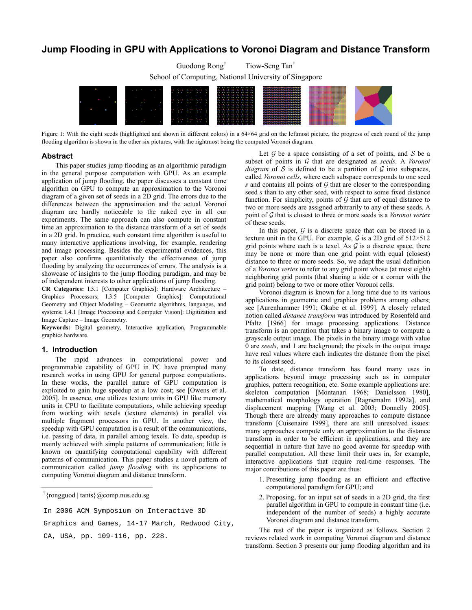# **Jump Flooding in GPU with Applications to Voronoi Diagram and Distance Transform**



Figure 1: With the eight seeds (highlighted and shown in different colors) in a 64×64 grid on the leftmost picture, the progress of each round of the jump flooding algorithm is shown in the other six pictures, with the rightmost being the computed Voronoi diagram.

#### **Abstract**

This paper studies jump flooding as an algorithmic paradigm in the general purpose computation with GPU. As an example application of jump flooding, the paper discusses a constant time algorithm on GPU to compute an approximation to the Voronoi diagram of a given set of seeds in a 2D grid. The errors due to the differences between the approximation and the actual Voronoi diagram are hardly noticeable to the naked eye in all our experiments. The same approach can also compute in constant time an approximation to the distance transform of a set of seeds in a 2D grid. In practice, such constant time algorithm is useful to many interactive applications involving, for example, rendering and image processing. Besides the experimental evidences, this paper also confirms quantitatively the effectiveness of jump flooding by analyzing the occurrences of errors. The analysis is a showcase of insights to the jump flooding paradigm, and may be of independent interests to other applications of jump flooding.

**CR Categories:** I.3.1 [Computer Graphics]: Hardware Architecture – Graphics Processors; I.3.5 [Computer Graphics]: Computational Geometry and Object Modeling – Geometric algorithms, languages, and systems; I.4.1 [Image Processing and Computer Vision]: Digitization and Image Capture – Image Geometry.

**Keywords:** Digital geometry, Interactive application, Programmable graphics hardware.

## **1. Introduction**

 $\overline{a}$ 

The rapid advances in computational power and programmable capability of GPU in PC have prompted many research works in using GPU for general purpose computations. In these works, the parallel nature of GPU computation is exploited to gain huge speedup at a low cost; see [Owens et al. 2005]. In essence, one utilizes texture units in GPU like memory units in CPU to facilitate computations, while achieving speedup from working with texels (texture elements) in parallel via multiple fragment processors in GPU. In another view, the speedup with GPU computation is a result of the communications, i.e. passing of data, in parallel among texels. To date, speedup is mainly achieved with simple patterns of communication; little is known on quantifying computational capability with different patterns of communication. This paper studies a novel pattern of communication called *jump flooding* with its applications to computing Voronoi diagram and distance transform.

† {rongguod | tants}@comp.nus.edu.sg

In 2006 ACM Symposium on Interactive 3D Graphics and Games, 14-17 March, Redwood City, CA, USA, pp. 109-116, pp. 228.

Let  $G$  be a space consisting of a set of points, and  $S$  be a subset of points in G that are designated as *seeds*. A *Voronoi diagram* of S is defined to be a partition of  $G$  into subspaces, called *Voronoi cells*, where each subspace corresponds to one seed  $s$  and contains all points of  $G$  that are closer to the corresponding seed *s* than to any other seed, with respect to some fixed distance function. For simplicity, points of  $G$  that are of equal distance to two or more seeds are assigned arbitrarily to any of these seeds. A point of G that is closest to three or more seeds is a *Voronoi vertex* of these seeds.

In this paper,  $G$  is a discrete space that can be stored in a texture unit in the GPU. For example,  $G$  is a 2D grid of  $512 \times 512$ grid points where each is a texel. As  $G$  is a discrete space, there may be none or more than one grid point with equal (closest) distance to three or more seeds. So, we adapt the usual definition of a *Voronoi vertex* to refer to any grid point whose (at most eight) neighboring grid points (that sharing a side or a corner with the grid point) belong to two or more other Voronoi cells.

Voronoi diagram is known for a long time due to its various applications in geometric and graphics problems among others; see [Aurenhammer 1991; Okabe et al. 1999]. A closely related notion called *distance transform* was introduced by Rosenfeld and Pfaltz [1966] for image processing applications. Distance transform is an operation that takes a binary image to compute a grayscale output image. The pixels in the binary image with value 0 are *seeds*, and 1 are background; the pixels in the output image have real values where each indicates the distance from the pixel to its closest seed.

To date, distance transform has found many uses in applications beyond image processing such as in computer graphics, pattern recognition, etc. Some example applications are: skeleton computation [Montanari 1968; Danielsson 1980], mathematical morphology operation [Ragnemalm 1992a], and displacement mapping [Wang et al. 2003; Donnelly 2005]. Though there are already many approaches to compute distance transform [Cuisenaire 1999], there are still unresolved issues: many approaches compute only an approximation to the distance transform in order to be efficient in applications, and they are sequential in nature that have no good avenue for speedup with parallel computation. All these limit their uses in, for example, interactive applications that require real-time responses. The major contributions of this paper are thus:

- 1. Presenting jump flooding as an efficient and effective computational paradigm for GPU; and
- 2. Proposing, for an input set of seeds in a 2D grid, the first parallel algorithm in GPU to compute in constant time (i.e. independent of the number of seeds) a highly accurate Voronoi diagram and distance transform.

The rest of the paper is organized as follows. Section 2 reviews related work in computing Voronoi diagram and distance transform. Section 3 presents our jump flooding algorithm and its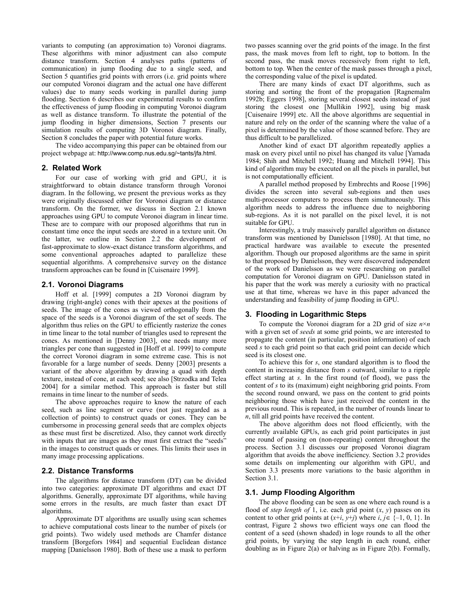variants to computing (an approximation to) Voronoi diagrams. These algorithms with minor adjustment can also compute distance transform. Section 4 analyses paths (patterns of communication) in jump flooding due to a single seed, and Section 5 quantifies grid points with errors (i.e. grid points where our computed Voronoi diagram and the actual one have different values) due to many seeds working in parallel during jump flooding. Section 6 describes our experimental results to confirm the effectiveness of jump flooding in computing Voronoi diagram as well as distance transform. To illustrate the potential of the jump flooding in higher dimensions, Section 7 presents our simulation results of computing 3D Voronoi diagram. Finally, Section 8 concludes the paper with potential future works.

The video accompanying this paper can be obtained from our project webpage at: http://www.comp.nus.edu.sg/~tants/jfa.html.

## **2. Related Work**

For our case of working with grid and GPU, it is straightforward to obtain distance transform through Voronoi diagram. In the following, we present the previous works as they were originally discussed either for Voronoi diagram or distance transform. On the former, we discuss in Section 2.1 known approaches using GPU to compute Voronoi diagram in linear time. These are to compare with our proposed algorithms that run in constant time once the input seeds are stored in a texture unit. On the latter, we outline in Section 2.2 the development of fast-approximate to slow-exact distance transform algorithms, and some conventional approaches adapted to parallelize these sequential algorithms. A comprehensive survey on the distance transform approaches can be found in [Cuisenaire 1999].

## **2.1. Voronoi Diagrams**

Hoff et al. [1999] computes a 2D Voronoi diagram by drawing (right-angle) cones with their apexes at the positions of seeds. The image of the cones as viewed orthogonally from the space of the seeds is a Voronoi diagram of the set of seeds. The algorithm thus relies on the GPU to efficiently rasterize the cones in time linear to the total number of triangles used to represent the cones. As mentioned in [Denny 2003], one needs many more triangles per cone than suggested in [Hoff et al. 1999] to compute the correct Voronoi diagram in some extreme case. This is not favorable for a large number of seeds. Denny [2003] presents a variant of the above algorithm by drawing a quad with depth texture, instead of cone, at each seed; see also [Strzodka and Telea 2004] for a similar method. This approach is faster but still remains in time linear to the number of seeds.

The above approaches require to know the nature of each seed, such as line segment or curve (not just regarded as a collection of points) to construct quads or cones. They can be cumbersome in processing general seeds that are complex objects as these must first be discretized. Also, they cannot work directly with inputs that are images as they must first extract the "seeds" in the images to construct quads or cones. This limits their uses in many image processing applications.

# **2.2. Distance Transforms**

The algorithms for distance transform (DT) can be divided into two categories: approximate DT algorithms and exact DT algorithms. Generally, approximate DT algorithms, while having some errors in the results, are much faster than exact DT algorithms.

Approximate DT algorithms are usually using scan schemes to achieve computational costs linear to the number of pixels (or grid points). Two widely used methods are Chamfer distance transform [Borgefors 1984] and sequential Euclidean distance mapping [Danielsson 1980]. Both of these use a mask to perform

two passes scanning over the grid points of the image. In the first pass, the mask moves from left to right, top to bottom. In the second pass, the mask moves recessively from right to left, bottom to top. When the center of the mask passes through a pixel, the corresponding value of the pixel is updated.

There are many kinds of exact DT algorithms, such as storing and sorting the front of the propagation [Ragnemalm 1992b; Eggers 1998], storing several closest seeds instead of just storing the closest one [Mullikin 1992], using big mask [Cuisenaire 1999] etc. All the above algorithms are sequential in nature and rely on the order of the scanning where the value of a pixel is determined by the value of those scanned before. They are thus difficult to be parallelized.

Another kind of exact DT algorithm repeatedly applies a mask on every pixel until no pixel has changed its value [Yamada 1984; Shih and Mitchell 1992; Huang and Mitchell 1994]. This kind of algorithm may be executed on all the pixels in parallel, but is not computationally efficient.

A parallel method proposed by Embrechts and Roose [1996] divides the screen into several sub-regions and then uses multi-processor computers to process them simultaneously. This algorithm needs to address the influence due to neighboring sub-regions. As it is not parallel on the pixel level, it is not suitable for GPU.

Interestingly, a truly massively parallel algorithm on distance transform was mentioned by Danielsson [1980]. At that time, no practical hardware was available to execute the presented algorithm. Though our proposed algorithms are the same in spirit to that proposed by Danielsson, they were discovered independent of the work of Danielsson as we were researching on parallel computation for Voronoi diagram on GPU. Danielsson stated in his paper that the work was merely a curiosity with no practical use at that time, whereas we have in this paper advanced the understanding and feasibility of jump flooding in GPU.

# **3. Flooding in Logarithmic Steps**

To compute the Voronoi diagram for a 2D grid of size *n*×*n* with a given set of *seeds* at some grid points, we are interested to propagate the content (in particular, position information) of each seed *s* to each grid point so that each grid point can decide which seed is its closest one.

To achieve this for *s*, one standard algorithm is to flood the content in increasing distance from *s* outward, similar to a ripple effect starting at *s*. In the first round (of flood), we pass the content of *s* to its (maximum) eight neighboring grid points. From the second round onward, we pass on the content to grid points neighboring those which have just received the content in the previous round. This is repeated, in the number of rounds linear to *n*, till all grid points have received the content.

The above algorithm does not flood efficiently, with the currently available GPUs, as each grid point participates in just one round of passing on (non-repeating) content throughout the process. Section 3.1 discusses our proposed Voronoi diagram algorithm that avoids the above inefficiency. Section 3.2 provides some details on implementing our algorithm with GPU, and Section 3.3 presents more variations to the basic algorithm in Section 3.1.

# **3.1. Jump Flooding Algorithm**

The above flooding can be seen as one where each round is a flood of *step length of* 1, i.e. each grid point  $(x, y)$  passes on its content to other grid points at  $(x+i, y+j)$  where  $i, j \in \{-1, 0, 1\}$ . In contrast, Figure 2 shows two efficient ways one can flood the content of a seed (shown shaded) in log*n* rounds to all the other grid points, by varying the step length in each round, either doubling as in Figure 2(a) or halving as in Figure 2(b). Formally,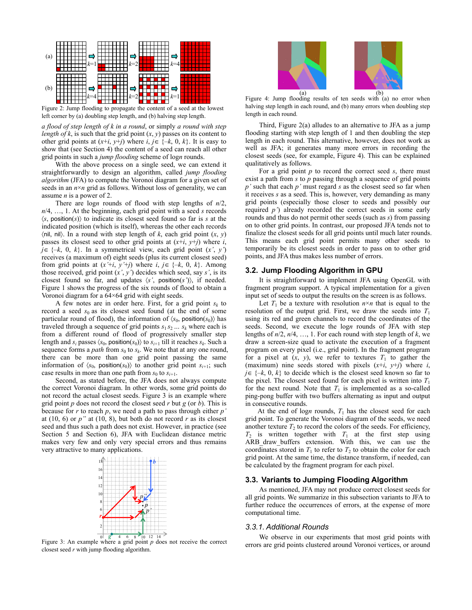

Figure 2: Jump flooding to propagate the content of a seed at the lowest left corner by (a) doubling step length, and (b) halving step length.

*a flood of step length of k in a round*, or simply *a round with step length of k*, is such that the grid point  $(x, y)$  passes on its content to other grid points at  $(x+i, y+j)$  where  $i, j \in \{-k, 0, k\}$ . It is easy to show that (see Section 4) the content of a seed can reach all other grid points in such a *jump flooding* scheme of log*n* rounds.

With the above process on a single seed, we can extend it straightforwardly to design an algorithm, called *jump flooding algorithm* (JFA) to compute the Voronoi diagram for a given set of seeds in an  $n \times n$  grid as follows. Without loss of generality, we can assume *n* is a power of 2.

There are log*n* rounds of flood with step lengths of *n*/2, *n*/4, …, 1. At the beginning, each grid point with a seed *s* records  $\langle s, \text{position}(s) \rangle$  to indicate its closest seed found so far is *s* at the indicated position (which is itself), whereas the other each records  $\langle$ nil, nil). In a round with step length of *k*, each grid point  $(x, y)$ passes its closest seed to other grid points at  $(x+i, y+j)$  where *i*, *j*∈ {–*k*, 0, *k*}. In a symmetrical view, each grid point (*x'*, *y'*) receives (a maximum of) eight seeds (plus its current closest seed) from grid points at  $(x'+i, y'+j)$  where  $i, j \in \{-k, 0, k\}$ . Among those received, grid point (*x'*, *y'*) decides which seed, say *s'*, is its closest found so far, and updates  $\langle s \rangle$ , position( $\langle s' \rangle$ ), if needed. Figure 1 shows the progress of the six rounds of flood to obtain a Voronoi diagram for a 64×64 grid with eight seeds.

A few notes are in order here. First, for a grid point  $s_k$  to record a seed  $s_0$  as its closest seed found (at the end of some particular round of flood), the information of  $\langle s_0, \text{position}(s_0) \rangle$  has traveled through a sequence of grid points  $s_1 s_2 \ldots s_k$  where each is from a different round of flood of progressively smaller step length and  $s_i$  passes  $\langle s_0, \text{position}(s_0) \rangle$  to  $s_{i+1}$  till it reaches  $s_k$ . Such a sequence forms a *path* from  $s_0$  to  $s_k$ . We note that at any one round, there can be more than one grid point passing the same information of  $\langle s_0, \text{position}(s_0) \rangle$  to another grid point  $s_{i+1}$ ; such case results in more than one path from  $s_0$  to  $s_{i+1}$ .

Second, as stated before, the JFA does not always compute the correct Voronoi diagram. In other words, some grid points do not record the actual closest seeds. Figure 3 is an example where grid point *p* does not record the closest seed *r* but *g* (or *b*). This is because for *r* to reach *p*, we need a path to pass through either *p'* at  $(10, 6)$  or  $p''$  at  $(10, 8)$ , but both do not record  $r$  as its closest seed and thus such a path does not exist. However, in practice (see Section 5 and Section 6), JFA with Euclidean distance metric makes very few and only very special errors and thus remains very attractive to many applications.



closest seed *r* with jump flooding algorithm.



(a) (b) Figure 4: Jump flooding results of ten seeds with (a) no error when halving step length in each round, and (b) many errors when doubling step length in each round.

Third, Figure 2(a) alludes to an alternative to JFA as a jump flooding starting with step length of 1 and then doubling the step length in each round. This alternative, however, does not work as well as JFA; it generates many more errors in recording the closest seeds (see, for example, Figure 4). This can be explained qualitatively as follows.

For a grid point *p* to record the correct seed *s*, there must exist a path from *s* to *p* passing through a sequence of grid points *p'* such that each *p'* must regard *s* as the closest seed so far when it receives *s* as a seed. This is, however, very demanding as many grid points (especially those closer to seeds and possibly our required *p'*) already recorded the correct seeds in some early rounds and thus do not permit other seeds (such as *s*) from passing on to other grid points. In contrast, our proposed JFA tends not to finalize the closest seeds for all grid points until much later rounds. This means each grid point permits many other seeds to temporarily be its closest seeds in order to pass on to other grid points, and JFA thus makes less number of errors.

## **3.2. Jump Flooding Algorithm in GPU**

It is straightforward to implement JFA using OpenGL with fragment program support. A typical implementation for a given input set of seeds to output the results on the screen is as follows.

Let  $T_1$  be a texture with resolution  $n \times n$  that is equal to the resolution of the output grid. First, we draw the seeds into  $T_1$ using its red and green channels to record the coordinates of the seeds. Second, we execute the log*n* rounds of JFA with step lengths of *n*/2, *n*/4, …, 1. For each round with step length of *k*, we draw a screen-size quad to activate the execution of a fragment program on every pixel (i.e., grid point). In the fragment program for a pixel at  $(x, y)$ , we refer to textures  $T_1$  to gather the (maximum) nine seeds stored with pixels  $(x+i, y+j)$  where *i*, *j*∈ {–*k*, 0, *k*} to decide which is the closest seed known so far to the pixel. The closest seed found for each pixel is written into  $T_1$ for the next round. Note that  $T_1$  is implemented as a so-called ping-pong buffer with two buffers alternating as input and output in consecutive rounds.

At the end of logn rounds,  $T_1$  has the closest seed for each grid point. To generate the Voronoi diagram of the seeds, we need another texture  $T_2$  to record the colors of the seeds. For efficiency,  $T_2$  is written together with  $T_1$  at the first step using ARB draw buffers extension. With this, we can use the coordinates stored in  $T_1$  to refer to  $T_2$  to obtain the color for each grid point. At the same time, the distance transform, if needed, can be calculated by the fragment program for each pixel.

### **3.3. Variants to Jumping Flooding Algorithm**

As mentioned, JFA may not produce correct closest seeds for all grid points. We summarize in this subsection variants to JFA to further reduce the occurrences of errors, at the expense of more computational time.

### *3.3.1. Additional Rounds*

We observe in our experiments that most grid points with Figure 3: An example where a grid point *p* does not receive the correct errors are grid points clustered around Voronoi vertices, or around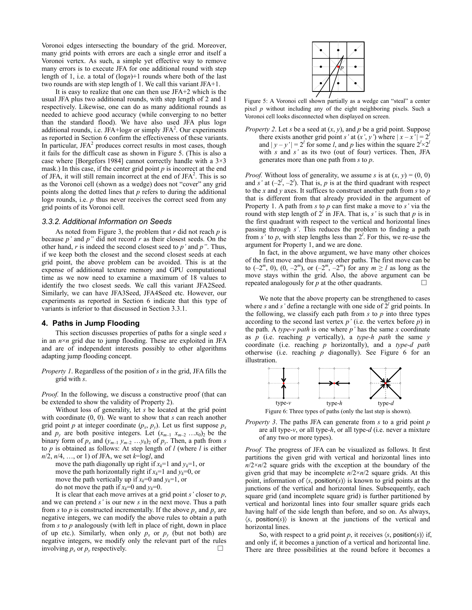Voronoi edges intersecting the boundary of the grid. Moreover, many grid points with errors are each a single error and itself a Voronoi vertex. As such, a simple yet effective way to remove many errors is to execute JFA for one additional round with step length of 1, i.e. a total of (log*n*)+1 rounds where both of the last two rounds are with step length of 1. We call this variant JFA+1.

It is easy to realize that one can then use JFA+2 which is the usual JFA plus two additional rounds, with step length of 2 and 1 respectively. Likewise, one can do as many additional rounds as needed to achieve good accuracy (while converging to no better than the standard flood). We have also used JFA plus log*n* additional rounds, i.e. JFA+logn or simply JFA<sup>2</sup>. Our experiments as reported in Section 6 confirm the effectiveness of these variants. In particular, JFA<sup>2</sup> produces correct results in most cases, though it fails for the difficult case as shown in Figure 5. (This is also a case where [Borgefors 1984] cannot correctly handle with a  $3\times3$ mask.) In this case, if the center grid point *p* is incorrect at the end of JFA, it will still remain incorrect at the end of JFA<sup>2</sup>. This is so as the Voronoi cell (shown as a wedge) does not "cover" any grid points along the dotted lines that *p* refers to during the additional logn rounds, i.e. p thus never receives the correct seed from any grid points of its Voronoi cell.

#### *3.3.2. Additional Information on Seeds*

As noted from Figure 3, the problem that *r* did not reach *p* is because *p'* and *p"* did not record *r* as their closest seeds. On the other hand, *r* is indeed the second closest seed to *p'* and *p"*. Thus, if we keep both the closest and the second closest seeds at each grid point, the above problem can be avoided. This is at the expense of additional texture memory and GPU computational time as we now need to examine a maximum of 18 values to identify the two closest seeds. We call this variant JFA2Seed. Similarly, we can have JFA3Seed, JFA4Seed etc. However, our experiments as reported in Section 6 indicate that this type of variants is inferior to that discussed in Section 3.3.1.

#### **4. Paths in Jump Flooding**

This section discusses properties of paths for a single seed *s* in an  $n \times n$  grid due to jump flooding. These are exploited in JFA and are of independent interests possibly to other algorithms adapting jump flooding concept.

*Property 1*. Regardless of the position of *s* in the grid, JFA fills the grid with *s*.

*Proof.* In the following, we discuss a constructive proof (that can be extended to show the validity of Property 2).

Without loss of generality, let *s* be located at the grid point with coordinate (0, 0). We want to show that *s* can reach another grid point *p* at integer coordinate  $(p_x, p_y)$ . Let us first suppose  $p_x$ and  $p_v$  are both positive integers. Let  $(x_{m-1}, x_{m-2}, \ldots, x_0)_2$  be the binary form of  $p_x$  and  $(y_{m-1}, y_{m-2}, \ldots, y_0)_2$  of  $p_y$ . Then, a path from *s* to *p* is obtained as follows: At step length of *l* (where *l* is either *n*/2, *n*/4, …, or 1) of JFA, we set *k*=log*l*, and

move the path diagonally up right if  $x_k=1$  and  $y_k=1$ , or move the path horizontally right if  $x_k=1$  and  $y_k=0$ , or move the path vertically up if  $x_k=0$  and  $y_k=1$ , or do not move the path if  $x_k=0$  and  $y_k=0$ .

It is clear that each move arrives at a grid point *s'* closer to *p*, and we can pretend *s'* is our new *s* in the next move. Thus a path from *s* to *p* is constructed incrementally. If the above  $p_x$  and  $p_y$  are negative integers, we can modify the above rules to obtain a path from *s* to *p* analogously (with left in place of right, down in place of up etc.). Similarly, when only  $p_x$  or  $p_y$  (but not both) are negative integers, we modify only the relevant part of the rules involving  $p_x$  or  $p_y$  respectively.  $\Box$ 



Figure 5: A Voronoi cell shown partially as a wedge can "steal" a center pixel *p* without including any of the eight neighboring pixels. Such a Voronoi cell looks disconnected when displayed on screen.

*Property 2*. Let *s* be a seed at (*x*, *y*), and *p* be a grid point. Suppose there exists another grid point *s'* at  $(x', y')$  where  $|x - x'| = 2^l$ and  $|y - y'| = 2^l$  for some *l*, and *p* lies within the square  $2^l \times 2^l$ with *s* and *s'* as its two (out of four) vertices. Then, JFA generates more than one path from *s* to *p*.

*Proof.* Without loss of generality, we assume *s* is at  $(x, y) = (0, 0)$ and *s'* at  $(-2^l, -2^l)$ . That is, *p* is at the third quadrant with respect to the *x* and *y* axes. It suffices to construct another path from *s* to *p* that is different from that already provided in the argument of Property 1. A path from *s* to *p* can first make a move to *s'* via the round with step length of  $2^l$  in JFA. That is, *s'* is such that *p* is in the first quadrant with respect to the vertical and horizontal lines passing through *s'*. This reduces the problem to finding a path from  $s'$  to  $p$ , with step lengths less than  $2^l$ . For this, we re-use the argument for Property 1, and we are done.

In fact, in the above argument, we have many other choices of the first move and thus many other paths. The first move can be to  $(-2^m, 0)$ ,  $(0, -2^m)$ , or  $(-2^m, -2^m)$  for any  $m \ge l$  as long as the move stays within the grid. Also, the above argument can be repeated analogously for  $p$  at the other quadrants.  $\Box$ 

We note that the above property can be strengthened to cases where *s* and *s'* define a rectangle with one side of  $2^l$  grid points. In the following, we classify each path from  $s$  to  $p$  into three types according to the second last vertex  $p'$  (i.e. the vertex before  $p$ ) in the path. A *type-v path* is one where *p'* has the same *x* coordinate as *p* (i.e. reaching *p* vertically), a *type-h path* the same *y* coordinate (i.e. reaching *p* horizontally), and a *type-d path* otherwise (i.e. reaching  $p$  diagonally). See Figure 6 for an illustration.



Figure 6: Three types of paths (only the last step is shown).

*Property 3*. The paths JFA can generate from *s* to a grid point *p* are all type-*v*, or all type-*h*, or all type-*d* (i.e. never a mixture of any two or more types).

*Proof.* The progress of JFA can be visualized as follows. It first partitions the given grid with vertical and horizontal lines into  $n/2 \times n/2$  square grids with the exception at the boundary of the given grid that may be incomplete *n*/2×*n*/2 square grids. At this point, information of  $\langle s, \text{position}(s) \rangle$  is known to grid points at the junctions of the vertical and horizontal lines. Subsequently, each square grid (and incomplete square grid) is further partitioned by vertical and horizontal lines into four smaller square grids each having half of the side length than before, and so on. As always,  $\langle s, \text{ position}(s) \rangle$  is known at the junctions of the vertical and horizontal lines.

So, with respect to a grid point *p*, it receives  $\langle s, \text{position}(s) \rangle$  if, and only if, it becomes a junction of a vertical and horizontal line. There are three possibilities at the round before it becomes a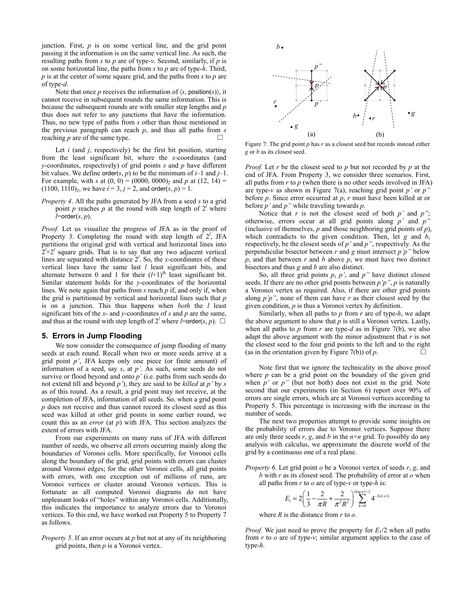junction. First, *p* is on some vertical line, and the grid point passing it the information is on the same vertical line. As such, the resulting paths from *s* to *p* are of type-*v*. Second, similarly, if *p* is on some horizontal line, the paths from *s* to *p* are of type-*h*. Third, *p* is at the center of some square grid, and the paths from *s* to *p* are of type-*d*.

Note that once *p* receives the information of  $\langle s, \text{position}(s) \rangle$ , it cannot receive in subsequent rounds the same information. This is because the subsequent rounds are with smaller step lengths and *p* thus does not refer to any junctions that have the information. Thus, no new type of paths from *s* other than those mentioned in the previous paragraph can reach *p*, and thus all paths from *s* reaching *p* are of the same type.  $\Box$ 

Let *i* (and *j*, respectively) be the first bit position, starting from the least significant bit, where the *x*-coordinates (and *y*-coordinates, respectively) of grid points *s* and *p* have different bit values. We define order(*s*, *p*) to be the minimum of *i*–1 and *j*–1. For example, with *s* at  $(0, 0) = (0000, 0000)$ <sub>2</sub> and *p* at  $(12, 14) =$  $(1100, 1110)_2$ , we have  $i = 3, j = 2$ , and order(*s*, *p*) = 1.

#### *Property 4*. All the paths generated by JFA from a seed *s* to a grid point *p* reaches *p* at the round with step length of  $2^l$  where *l*=order(*s*, *p*).

*Proof.* Let us visualize the progress of JFA as in the proof of Property 3. Completing the round with step length of  $2^l$ , JFA partitions the original grid with vertical and horizontal lines into  $2^{l} \times 2^{l}$  square grids. That is to say that any two adjacent vertical lines are separated with distance  $2^l$ . So, the *x*-coordinates of these vertical lines have the same last *l* least significant bits, and alternate between 0 and 1 for their  $(l+1)$ <sup>th</sup> least significant bit. Similar statement holds for the *y*-coordinates of the horizontal lines. We note again that paths from *s* reach *p* if, and only if, when the grid is partitioned by vertical and horizontal lines such that *p* is on a junction. This thus happens when *both* the *l* least significant bits of the *x*- and *y*-coordinates of *s* and *p* are the same, and thus at the round with step length of  $2^l$  where *l*=order(*s*, *p*).  $\Box$ 

### **5. Errors in Jump Flooding**

We now consider the consequence of jump flooding of many seeds at each round. Recall when two or more seeds arrive at a grid point *p'*, JFA keeps only one piece (or finite amount) of information of a seed, say *s*, at *p'*. As such, some seeds do not survive or flood beyond and onto *p'* (i.e. paths from such seeds do not extend till and beyond *p'*), they are said to be *killed* at *p'* by *s* as of this round. As a result, a grid point may not receive, at the completion of JFA, information of all seeds. So, when a grid point *p* does not receive and thus cannot record its closest seed as this seed was killed at other grid points in some earlier round, we count this as an *error* (at *p*) with JFA. This section analyzes the extent of errors with JFA.

From our experiments on many runs of JFA with different number of seeds, we observe all errors occurring mainly along the boundaries of Voronoi cells. More specifically, for Voronoi cells along the boundary of the grid, grid points with errors can cluster around Voronoi edges; for the other Voronoi cells, all grid points with errors, with one exception out of millions of runs, are Voronoi vertices or cluster around Voronoi vertices. This is fortunate as all computed Voronoi diagrams do not have unpleasant looks of "holes" within any Voronoi cells. Additionally, this indicates the importance to analyze errors due to Voronoi vertices. To this end, we have worked out Property 5 to Property 7 as follows.

*Property 5*. If an error occurs at *p* but not at any of its neighboring grid points, then *p* is a Voronoi vertex.



Figure 7: The grid point *p* has *r* as a closest seed but records instead either *g* or *b* as its closest seed.

*Proof.* Let *r* be the closest seed to *p* but not recorded by *p* at the end of JFA. From Property 3, we consider three scenarios. First, all paths from *r* to *p* (when there is no other seeds involved in JFA) are type-*v* as shown in Figure 7(a), reaching grid point *p'* or *p"* before *p*. Since error occurred at *p*, *r* must have been killed at or before *p'* and *p"* while traveling towards *p*.

Notice that *r* is not the closest seed of both *p*' and *p*"; otherwise, errors occur at all grid points along *p'* and *p"* (inclusive of themselves, *p* and those neighboring grid points of *p*), which contradicts to the given condition. Then, let *g* and *b*, respectively, be the closest seeds of *p'* and *p"*, respectively. As the perpendicular bisector between *r* and *g* must intersect *p'p"* below *p*, and that between *r* and *b* above *p*, we must have two distinct bisectors and thus *g* and *b* are also distinct.

So, all three grid points *p*, *p'*, and *p"* have distinct closest seeds. If there are no other grid points between *p'p"*, *p* is naturally a Voronoi vertex as required. Also, if there are other grid points along *p'p"*, none of them can have *r* as their closest seed by the given condition, *p* is thus a Voronoi vertex by definition.

Similarly, when all paths to *p* from *r* are of type-*h*, we adapt the above argument to show that  $p$  is still a Voronoi vertex. Lastly, when all paths to  $p$  from  $r$  are type- $d$  as in Figure 7(b), we also adapt the above argument with the minor adjustment that *r* is not the closest seed to the four grid points to the left and to the right (as in the orientation given by Figure  $7(b)$ ) of  $p$ .

Note first that we ignore the technicality in the above proof where *p* can be a grid point on the boundary of the given grid when *p'* or *p"* (but not both) does not exist in the grid. Note second that our experiments (in Section 6) report over 90% of errors are single errors, which are at Voronoi vertices according to Property 5. This percentage is increasing with the increase in the number of seeds.

The next two properties attempt to provide some insights on the probability of errors due to Voronoi vertices. Suppose there are only three seeds *r*, *g*, and *b* in the *n*×*n* grid. To possibly do any analysis with calculus, we approximate the discrete world of the grid by a continuous one of a real plane.

*Property 6*. Let grid point *o* be a Voronoi vertex of seeds *r*, *g*, and *b* with *r* as its closest seed. The probability of error at *o* when all paths from *r* to *o* are of type-*v* or type-*h* is:

$$
E_1 = 2\left(\frac{1}{3} - \frac{2}{\pi R} + \frac{2}{\pi^2 R^2}\right)^{(\log n)^{-2}} \sum_{k=0}^{4} 4^{-3(k+1)}
$$

where *R* is the distance from *r* to *o*.

*Proof.* We just need to prove the property for  $E_1/2$  when all paths from *r* to *o* are of type-*v*; similar argument applies to the case of type-*h*.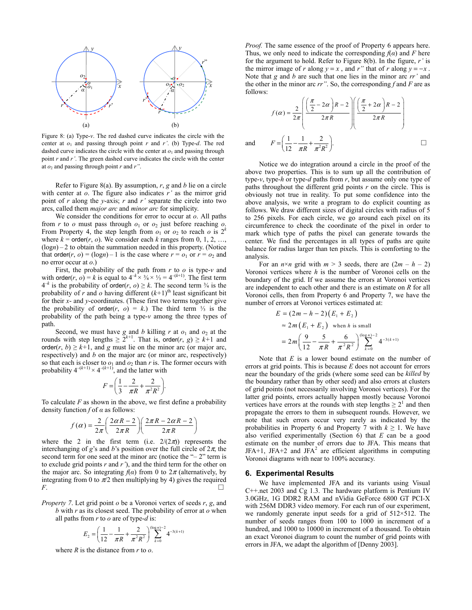

Figure 8: (a) Type-*v*. The red dashed curve indicates the circle with the center at  $o_1$  and passing through point  $r$  and  $r'$ . (b) Type- $d$ . The red dashed curve indicates the circle with the center at  $o_1$  and passing through point *r* and *r'*. The green dashed curve indicates the circle with the center at  $o_2$  and passing through point *r* and *r*".

Refer to Figure 8(a). By assumption, *r*, *g* and *b* lie on a circle with center at *o*. The figure also indicates *r'* as the mirror grid point of *r* along the *y*-axis; *r* and *r'* separate the circle into two arcs, called them *major arc* and *minor arc* for simplicity.

We consider the conditions for error to occur at *o*. All paths from *r* to *o* must pass through  $o_1$  or  $o_2$  just before reaching  $o_2$ . From Property 4, the step length from  $o_1$  or  $o_2$  to reach  $o$  is  $2^k$ where  $k = \text{order}(r, o)$ . We consider each  $k$  ranges from 0, 1, 2, ...,  $(logn) - 2$  to obtain the summation needed in this property. (Notice that order(*r*, *o*) = (log*n*) – 1 is the case where  $r = o_1$  or  $r = o_2$  and no error occur at *o*.)

First, the probability of the path from *r* to *o* is type-*v* and with order(*r*, *o*) = *k* is equal to  $4^{-k} \times \frac{3}{4} \times \frac{1}{3} = 4^{-(k+1)}$ . The first term  $4^{-k}$  is the probability of order(*r*, *o*)  $\geq k$ . The second term  $\frac{3}{4}$  is the probability of *r* and *o* having different  $(k+1)$ <sup>th</sup> least significant bit for their *x*- and *y*-coordinates. (These first two terms together give the probability of order( $r$ ,  $o$ ) =  $k$ .) The third term 1/3 is the probability of the path being a type-*v* among the three types of path.

Second, we must have  $g$  and  $b$  killing  $r$  at  $o_1$  and  $o_2$  at the rounds with step lengths  $\geq 2^{k+1}$ . That is, order(*r*, *g*)  $\geq k+1$  and order(*r*,  $b$ )  $\geq$   $k+1$ , and *g* must lie on the minor arc (or major arc, respectively) and *b* on the major arc (or minor arc, respectively) so that each is closer to  $o_1$  and  $o_2$  than  $r$  is. The former occurs with probability  $4^{-(k+1)} \times 4^{-(k+1)}$ , and the latter with

$$
F = \left(\frac{1}{3} - \frac{2}{\pi R} + \frac{2}{\pi^2 R^2}\right).
$$

To calculate *F* as shown in the above, we first define a probability density function *f* of *α* as follows:

$$
f(\alpha) = \frac{2}{2\pi} \left( \frac{2\alpha R - 2}{2\pi R} \right) \left( \frac{2\pi R - 2\alpha R - 2}{2\pi R} \right)
$$

where the 2 in the first term (i.e.  $2/(2\pi)$ ) represents the interchanging of *g*'s and *b*'s position over the full circle of  $2\pi$ , the second term for one seed at the minor arc (notice the "–2" term is to exclude grid points *r* and *r'*), and the third term for the other on the major arc. So integrating  $f(\alpha)$  from 0 to  $2\pi$  (alternatively, by integrating from 0 to  $\pi/2$  then multiplying by 4) gives the required *F*. □

*Property 7*. Let grid point *o* be a Voronoi vertex of seeds *r*, *g*, and *b* with *r* as its closest seed. The probability of error at *o* when all paths from *r* to *o* are of type-*d* is:

$$
E_2 = \left(\frac{1}{12} - \frac{1}{\pi R} + \frac{2}{\pi^2 R^2}\right)^{(\log n)^{-2}} \sum_{k=0}^{\infty} 4^{-3(k+1)}
$$

where *R* is the distance from *r* to *o*.

*Proof.* The same essence of the proof of Property 6 appears here. Thus, we only need to indicate the corresponding  $f(\alpha)$  and *F* here for the argument to hold. Refer to Figure 8(b). In the figure, *r'* is the mirror image of *r* along  $y = x$ , and *r*" that of *r* along  $y = -x$ . Note that *g* and *b* are such that one lies in the minor arc *rr'* and the other in the minor arc *rr"*. So, the corresponding *f* and *F* are as follows:

$$
f(\alpha) = \frac{2}{2\pi} \left( \frac{\left(\frac{\pi}{2} - 2\alpha\right)R - 2}{2\pi R} \right) \left( \frac{\left(\frac{\pi}{2} + 2\alpha\right)R - 2}{2\pi R} \right)
$$
  
and 
$$
F = \left( \frac{1}{12} - \frac{1}{\pi R} + \frac{2}{\pi^2 R^2} \right).
$$

Notice we do integration around a circle in the proof of the above two properties. This is to sum up all the contribution of type-*v*, type-*h* or type-*d* paths from *r*, but assume only one type of paths throughout the different grid points *r* on the circle. This is obviously not true in reality. To put some confidence into the above analysis, we write a program to do explicit counting as follows. We draw different sizes of digital circles with radius of 5 to 256 pixels. For each circle, we go around each pixel on its circumference to check the coordinate of the pixel in order to mark which type of paths the pixel can generate towards the center. We find the percentages in all types of paths are quite balance for radius larger than ten pixels. This is comforting to the analysis.

For an  $n \times n$  grid with  $m > 3$  seeds, there are  $(2m - h - 2)$ Voronoi vertices where *h* is the number of Voronoi cells on the boundary of the grid. If we assume the errors at Voronoi vertices are independent to each other and there is an estimate on *R* for all Voronoi cells, then from Property 6 and Property 7, we have the number of errors at Voronoi vertices estimated at:

$$
E = (2m - h - 2)(E_1 + E_2)
$$
  
\n
$$
\approx 2m (E_1 + E_2) \text{ when } h \text{ is small}
$$
  
\n
$$
= 2m \left( \frac{9}{12} - \frac{5}{\pi R} + \frac{6}{\pi^2 R^2} \right)^{(\log n)-2} \underset{k=0}{\approx} 4^{-3(k+1)}
$$

Note that *E* is a lower bound estimate on the number of errors at grid points. This is because *E* does not account for errors near the boundary of the grids (where some seed can be *killed* by the boundary rather than by other seed) and also errors at clusters of grid points (not necessarily involving Voronoi vertices). For the latter grid points, errors actually happen mostly because Voronoi vertices have errors at the rounds with step lengths  $\geq 2^1$  and then propagate the errors to them in subsequent rounds. However, we note that such errors occur very rarely as indicated by the probabilities in Property 6 and Property 7 with  $k \geq 1$ . We have also verified experimentally (Section 6) that *E* can be a good estimate on the number of errors due to JFA. This means that JFA+1, JFA+2 and JFA<sup>2</sup> are efficient algorithms in computing Voronoi diagrams with near to 100% accuracy.

#### **6. Experimental Results**

We have implemented JFA and its variants using Visual C++.net 2003 and Cg 1.3. The hardware platform is Pentium IV 3.0GHz, 1G DDR2 RAM and nVidia GeForce 6800 GT PCI-X with 256M DDR3 video memory. For each run of our experiment, we randomly generate input seeds for a grid of 512×512. The number of seeds ranges from 100 to 1000 in increment of a hundred, and 1000 to 10000 in increment of a thousand. To obtain an exact Voronoi diagram to count the number of grid points with errors in JFA, we adapt the algorithm of [Denny 2003].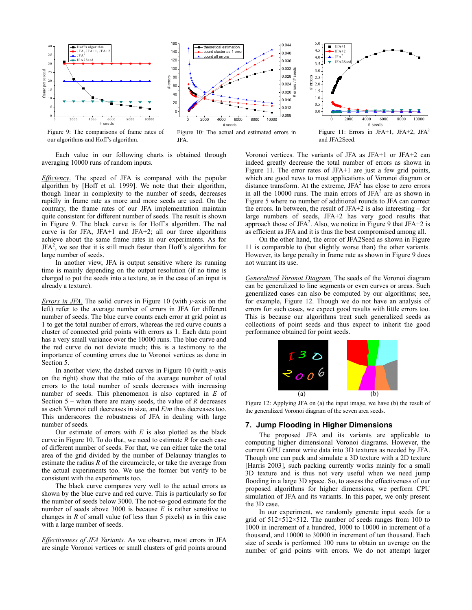

Figure 9: The comparisons of frame rates of our algorithms and Hoff's algorithm.

Figure 10: The actual and estimated errors in JFA.



Figure 11: Errors in JFA+1, JFA+2, JFA<sup>2</sup> and JFA2Seed.

Each value in our following charts is obtained through averaging 10000 runs of random inputs.

*Efficiency*. The speed of JFA is compared with the popular algorithm by [Hoff et al. 1999]. We note that their algorithm, though linear in complexity to the number of seeds, decreases rapidly in frame rate as more and more seeds are used. On the contrary, the frame rates of our JFA implementation maintain quite consistent for different number of seeds. The result is shown in Figure 9. The black curve is for Hoff's algorithm. The red curve is for JFA, JFA+1 and JFA+2; all our three algorithms achieve about the same frame rates in our experiments. As for  $JFA<sup>2</sup>$ , we see that it is still much faster than Hoff's algorithm for large number of seeds.

In another view, JFA is output sensitive where its running time is mainly depending on the output resolution (if no time is charged to put the seeds into a texture, as in the case of an input is already a texture).

*Errors in JFA.* The solid curves in Figure 10 (with *y*-axis on the left) refer to the average number of errors in JFA for different number of seeds. The blue curve counts each error at grid point as 1 to get the total number of errors, whereas the red curve counts a cluster of connected grid points with errors as 1. Each data point has a very small variance over the 10000 runs. The blue curve and the red curve do not deviate much; this is a testimony to the importance of counting errors due to Voronoi vertices as done in Section 5.

In another view, the dashed curves in Figure 10 (with *y*-axis on the right) show that the ratio of the average number of total errors to the total number of seeds decreases with increasing number of seeds. This phenomenon is also captured in *E* of Section 5 – when there are many seeds, the value of *R* decreases as each Voronoi cell decreases in size, and *E*/*m* thus decreases too. This underscores the robustness of JFA in dealing with large number of seeds.

Our estimate of errors with  $E$  is also plotted as the black curve in Figure 10. To do that, we need to estimate *R* for each case of different number of seeds. For that, we can either take the total area of the grid divided by the number of Delaunay triangles to estimate the radius *R* of the circumcircle, or take the average from the actual experiments too. We use the former but verify to be consistent with the experiments too.

The black curve compares very well to the actual errors as shown by the blue curve and red curve. This is particularly so for the number of seeds below 3000. The not-so-good estimate for the number of seeds above 3000 is because *E* is rather sensitive to changes in *R* of small value (of less than 5 pixels) as in this case with a large number of seeds.

*Effectiveness of JFA Variants.* As we observe, most errors in JFA are single Voronoi vertices or small clusters of grid points around Voronoi vertices. The variants of JFA as JFA+1 or JFA+2 can indeed greatly decrease the total number of errors as shown in Figure 11. The error rates of JFA+1 are just a few grid points, which are good news to most applications of Voronoi diagram or distance transform. At the extreme,  $JFA<sup>2</sup>$  has close to zero errors in all the 10000 runs. The main errors of  $JFA<sup>2</sup>$  are as shown in Figure 5 where no number of additional rounds to JFA can correct the errors. In between, the result of JFA $+2$  is also interesting – for large numbers of seeds, JFA+2 has very good results that approach those of JFA<sup>2</sup>. Also, we notice in Figure 9 that JFA+2 is as efficient as JFA and it is thus the best compromised among all.

On the other hand, the error of JFA2Seed as shown in Figure 11 is comparable to (but slightly worse than) the other variants. However, its large penalty in frame rate as shown in Figure 9 does not warrant its use.

*Generalized Voronoi Diagram.* The seeds of the Voronoi diagram can be generalized to line segments or even curves or areas. Such generalized cases can also be computed by our algorithms; see, for example, Figure 12. Though we do not have an analysis of errors for such cases, we expect good results with little errors too. This is because our algorithms treat such generalized seeds as collections of point seeds and thus expect to inherit the good performance obtained for point seeds.



Figure 12: Applying JFA on (a) the input image, we have (b) the result of the generalized Voronoi diagram of the seven area seeds.

## **7. Jump Flooding in Higher Dimensions**

The proposed JFA and its variants are applicable to computing higher dimensional Voronoi diagrams. However, the current GPU cannot write data into 3D textures as needed by JFA. Though one can pack and simulate a 3D texture with a 2D texture [Harris 2003], such packing currently works mainly for a small 3D texture and is thus not very useful when we need jump flooding in a large 3D space. So, to assess the effectiveness of our proposed algorithms for higher dimensions, we perform CPU simulation of JFA and its variants. In this paper, we only present the 3D case.

In our experiment, we randomly generate input seeds for a grid of 512×512×512. The number of seeds ranges from 100 to 1000 in increment of a hundred, 1000 to 10000 in increment of a thousand, and 10000 to 30000 in increment of ten thousand. Each size of seeds is performed 100 runs to obtain an average on the number of grid points with errors. We do not attempt larger